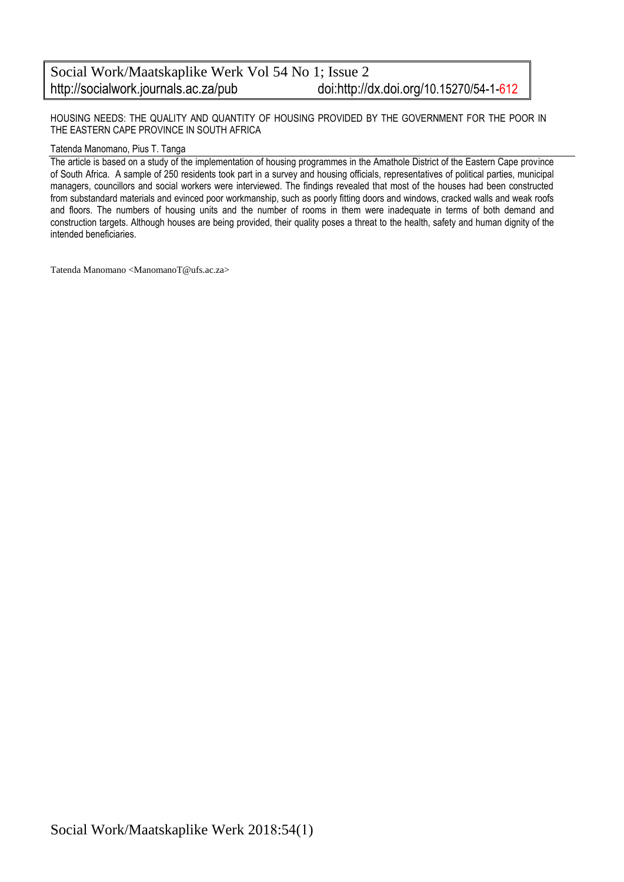#### Social Work/Maatskaplike Werk Vol 54 No 1; Issue 2 http://socialwork.journals.ac.za/pub doi:http://dx.doi.org/10.15270/54-1-612

HOUSING NEEDS: THE QUALITY AND QUANTITY OF HOUSING PROVIDED BY THE GOVERNMENT FOR THE POOR IN THE EASTERN CAPE PROVINCE IN SOUTH AFRICA

#### Tatenda Manomano, Pius T. Tanga

The article is based on a study of the implementation of housing programmes in the Amathole District of the Eastern Cape province of South Africa. A sample of 250 residents took part in a survey and housing officials, representatives of political parties, municipal managers, councillors and social workers were interviewed. The findings revealed that most of the houses had been constructed from substandard materials and evinced poor workmanship, such as poorly fitting doors and windows, cracked walls and weak roofs and floors. The numbers of housing units and the number of rooms in them were inadequate in terms of both demand and construction targets. Although houses are being provided, their quality poses a threat to the health, safety and human dignity of the intended beneficiaries.

Tatenda Manomano <ManomanoT@ufs.ac.za>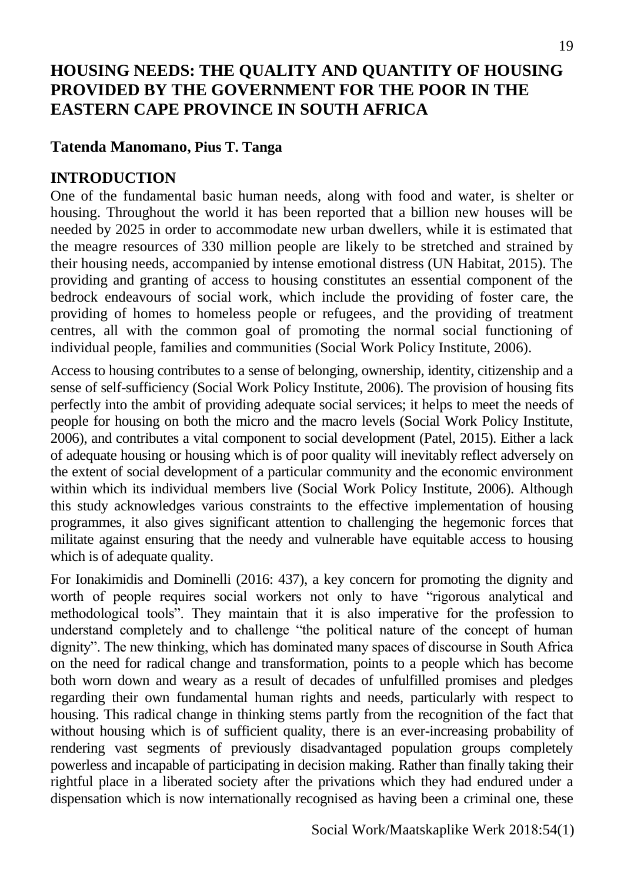# **HOUSING NEEDS: THE QUALITY AND QUANTITY OF HOUSING PROVIDED BY THE GOVERNMENT FOR THE POOR IN THE EASTERN CAPE PROVINCE IN SOUTH AFRICA**

## **Tatenda Manomano, Pius T. Tanga**

## **INTRODUCTION**

One of the fundamental basic human needs, along with food and water, is shelter or housing. Throughout the world it has been reported that a billion new houses will be needed by 2025 in order to accommodate new urban dwellers, while it is estimated that the meagre resources of 330 million people are likely to be stretched and strained by their housing needs, accompanied by intense emotional distress (UN Habitat, 2015). The providing and granting of access to housing constitutes an essential component of the bedrock endeavours of social work, which include the providing of foster care, the providing of homes to homeless people or refugees, and the providing of treatment centres, all with the common goal of promoting the normal social functioning of individual people, families and communities (Social Work Policy Institute, 2006).

Access to housing contributes to a sense of belonging, ownership, identity, citizenship and a sense of self-sufficiency (Social Work Policy Institute, 2006). The provision of housing fits perfectly into the ambit of providing adequate social services; it helps to meet the needs of people for housing on both the micro and the macro levels (Social Work Policy Institute, 2006), and contributes a vital component to social development (Patel, 2015). Either a lack of adequate housing or housing which is of poor quality will inevitably reflect adversely on the extent of social development of a particular community and the economic environment within which its individual members live (Social Work Policy Institute, 2006). Although this study acknowledges various constraints to the effective implementation of housing programmes, it also gives significant attention to challenging the hegemonic forces that militate against ensuring that the needy and vulnerable have equitable access to housing which is of adequate quality.

For Ionakimidis and Dominelli (2016: 437), a key concern for promoting the dignity and worth of people requires social workers not only to have "rigorous analytical and methodological tools". They maintain that it is also imperative for the profession to understand completely and to challenge "the political nature of the concept of human dignity". The new thinking, which has dominated many spaces of discourse in South Africa on the need for radical change and transformation, points to a people which has become both worn down and weary as a result of decades of unfulfilled promises and pledges regarding their own fundamental human rights and needs, particularly with respect to housing. This radical change in thinking stems partly from the recognition of the fact that without housing which is of sufficient quality, there is an ever-increasing probability of rendering vast segments of previously disadvantaged population groups completely powerless and incapable of participating in decision making. Rather than finally taking their rightful place in a liberated society after the privations which they had endured under a dispensation which is now internationally recognised as having been a criminal one, these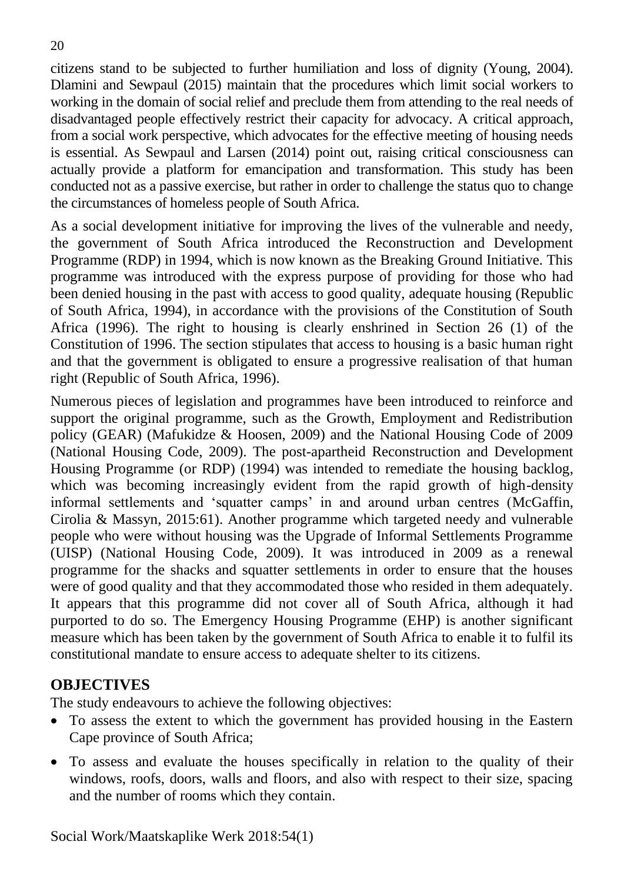citizens stand to be subjected to further humiliation and loss of dignity (Young, 2004). Dlamini and Sewpaul (2015) maintain that the procedures which limit social workers to working in the domain of social relief and preclude them from attending to the real needs of disadvantaged people effectively restrict their capacity for advocacy. A critical approach, from a social work perspective, which advocates for the effective meeting of housing needs is essential. As Sewpaul and Larsen (2014) point out, raising critical consciousness can actually provide a platform for emancipation and transformation. This study has been conducted not as a passive exercise, but rather in order to challenge the status quo to change the circumstances of homeless people of South Africa.

As a social development initiative for improving the lives of the vulnerable and needy, the government of South Africa introduced the Reconstruction and Development Programme (RDP) in 1994, which is now known as the Breaking Ground Initiative. This programme was introduced with the express purpose of providing for those who had been denied housing in the past with access to good quality, adequate housing (Republic of South Africa, 1994), in accordance with the provisions of the Constitution of South Africa (1996). The right to housing is clearly enshrined in Section 26 (1) of the Constitution of 1996. The section stipulates that access to housing is a basic human right and that the government is obligated to ensure a progressive realisation of that human right (Republic of South Africa, 1996).

Numerous pieces of legislation and programmes have been introduced to reinforce and support the original programme, such as the Growth, Employment and Redistribution policy (GEAR) (Mafukidze & Hoosen, 2009) and the National Housing Code of 2009 (National Housing Code, 2009). The post-apartheid Reconstruction and Development Housing Programme (or RDP) (1994) was intended to remediate the housing backlog, which was becoming increasingly evident from the rapid growth of high-density informal settlements and 'squatter camps' in and around urban centres (McGaffin, Cirolia & Massyn, 2015:61). Another programme which targeted needy and vulnerable people who were without housing was the Upgrade of Informal Settlements Programme (UISP) (National Housing Code, 2009). It was introduced in 2009 as a renewal programme for the shacks and squatter settlements in order to ensure that the houses were of good quality and that they accommodated those who resided in them adequately. It appears that this programme did not cover all of South Africa, although it had purported to do so. The Emergency Housing Programme (EHP) is another significant measure which has been taken by the government of South Africa to enable it to fulfil its constitutional mandate to ensure access to adequate shelter to its citizens.

## **OBJECTIVES**

The study endeavours to achieve the following objectives:

- To assess the extent to which the government has provided housing in the Eastern Cape province of South Africa;
- To assess and evaluate the houses specifically in relation to the quality of their windows, roofs, doors, walls and floors, and also with respect to their size, spacing and the number of rooms which they contain.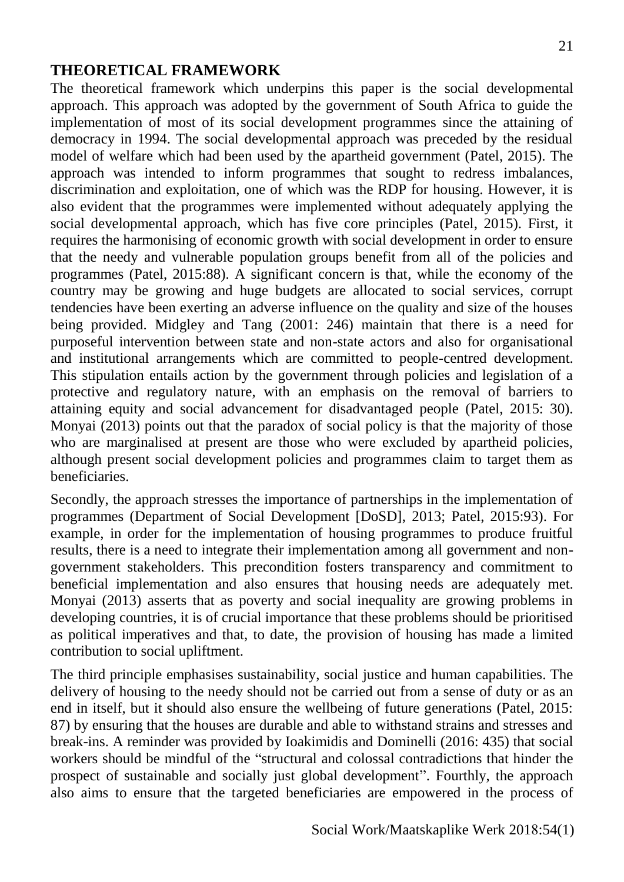## **THEORETICAL FRAMEWORK**

The theoretical framework which underpins this paper is the social developmental approach. This approach was adopted by the government of South Africa to guide the implementation of most of its social development programmes since the attaining of democracy in 1994. The social developmental approach was preceded by the residual model of welfare which had been used by the apartheid government (Patel, 2015). The approach was intended to inform programmes that sought to redress imbalances, discrimination and exploitation, one of which was the RDP for housing. However, it is also evident that the programmes were implemented without adequately applying the social developmental approach, which has five core principles (Patel, 2015). First, it requires the harmonising of economic growth with social development in order to ensure that the needy and vulnerable population groups benefit from all of the policies and programmes (Patel, 2015:88). A significant concern is that, while the economy of the country may be growing and huge budgets are allocated to social services, corrupt tendencies have been exerting an adverse influence on the quality and size of the houses being provided. Midgley and Tang (2001: 246) maintain that there is a need for purposeful intervention between state and non-state actors and also for organisational and institutional arrangements which are committed to people-centred development. This stipulation entails action by the government through policies and legislation of a protective and regulatory nature, with an emphasis on the removal of barriers to attaining equity and social advancement for disadvantaged people (Patel, 2015: 30). Monyai (2013) points out that the paradox of social policy is that the majority of those who are marginalised at present are those who were excluded by apartheid policies, although present social development policies and programmes claim to target them as beneficiaries.

Secondly, the approach stresses the importance of partnerships in the implementation of programmes (Department of Social Development [DoSD], 2013; Patel, 2015:93). For example, in order for the implementation of housing programmes to produce fruitful results, there is a need to integrate their implementation among all government and nongovernment stakeholders. This precondition fosters transparency and commitment to beneficial implementation and also ensures that housing needs are adequately met. Monyai (2013) asserts that as poverty and social inequality are growing problems in developing countries, it is of crucial importance that these problems should be prioritised as political imperatives and that, to date, the provision of housing has made a limited contribution to social upliftment.

The third principle emphasises sustainability, social justice and human capabilities. The delivery of housing to the needy should not be carried out from a sense of duty or as an end in itself, but it should also ensure the wellbeing of future generations (Patel, 2015: 87) by ensuring that the houses are durable and able to withstand strains and stresses and break-ins. A reminder was provided by Ioakimidis and Dominelli (2016: 435) that social workers should be mindful of the "structural and colossal contradictions that hinder the prospect of sustainable and socially just global development". Fourthly, the approach also aims to ensure that the targeted beneficiaries are empowered in the process of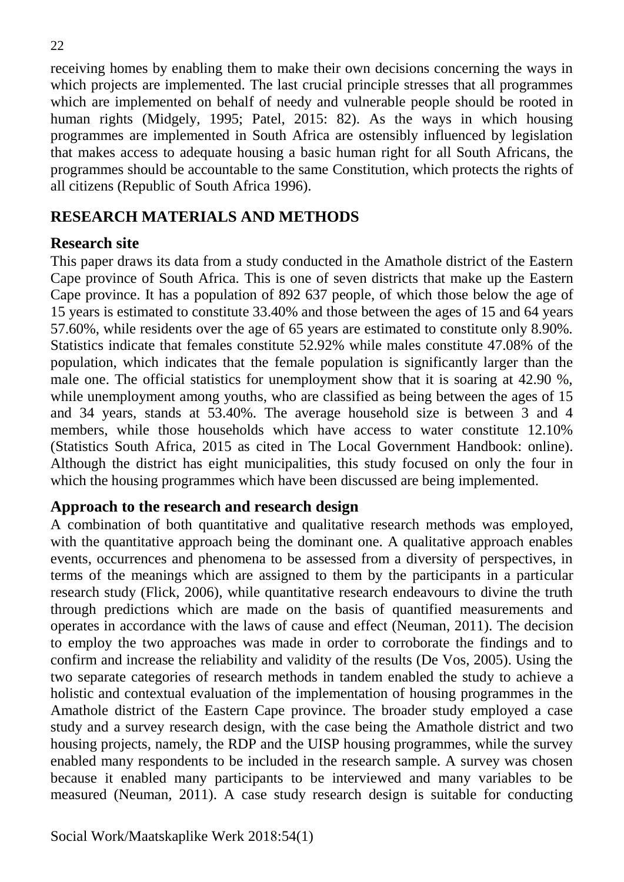receiving homes by enabling them to make their own decisions concerning the ways in which projects are implemented. The last crucial principle stresses that all programmes which are implemented on behalf of needy and vulnerable people should be rooted in human rights (Midgely, 1995; Patel, 2015: 82). As the ways in which housing programmes are implemented in South Africa are ostensibly influenced by legislation that makes access to adequate housing a basic human right for all South Africans, the programmes should be accountable to the same Constitution, which protects the rights of all citizens (Republic of South Africa 1996).

## **RESEARCH MATERIALS AND METHODS**

## **Research site**

This paper draws its data from a study conducted in the Amathole district of the Eastern Cape province of South Africa. This is one of seven districts that make up the Eastern Cape province. It has a population of 892 637 people, of which those below the age of 15 years is estimated to constitute 33.40% and those between the ages of 15 and 64 years 57.60%, while residents over the age of 65 years are estimated to constitute only 8.90%. Statistics indicate that females constitute 52.92% while males constitute 47.08% of the population, which indicates that the female population is significantly larger than the male one. The official statistics for unemployment show that it is soaring at 42.90 %, while unemployment among youths, who are classified as being between the ages of 15 and 34 years, stands at 53.40%. The average household size is between 3 and 4 members, while those households which have access to water constitute 12.10% (Statistics South Africa, 2015 as cited in The Local Government Handbook: online). Although the district has eight municipalities, this study focused on only the four in which the housing programmes which have been discussed are being implemented.

#### **Approach to the research and research design**

A combination of both quantitative and qualitative research methods was employed, with the quantitative approach being the dominant one. A qualitative approach enables events, occurrences and phenomena to be assessed from a diversity of perspectives, in terms of the meanings which are assigned to them by the participants in a particular research study (Flick, 2006), while quantitative research endeavours to divine the truth through predictions which are made on the basis of quantified measurements and operates in accordance with the laws of cause and effect (Neuman, 2011). The decision to employ the two approaches was made in order to corroborate the findings and to confirm and increase the reliability and validity of the results (De Vos, 2005). Using the two separate categories of research methods in tandem enabled the study to achieve a holistic and contextual evaluation of the implementation of housing programmes in the Amathole district of the Eastern Cape province. The broader study employed a case study and a survey research design, with the case being the Amathole district and two housing projects, namely, the RDP and the UISP housing programmes, while the survey enabled many respondents to be included in the research sample. A survey was chosen because it enabled many participants to be interviewed and many variables to be measured (Neuman, 2011). A case study research design is suitable for conducting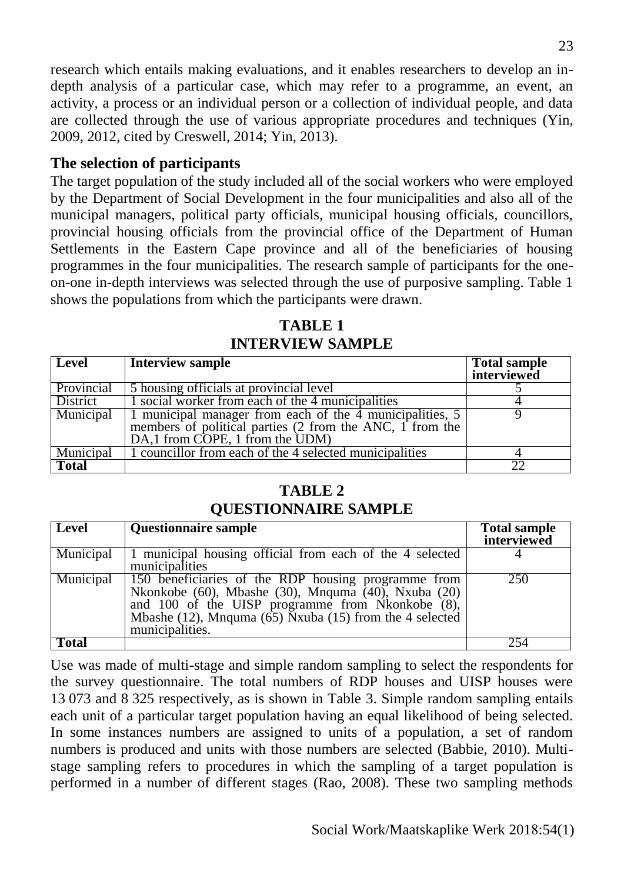research which entails making evaluations, and it enables researchers to develop an indepth analysis of a particular case, which may refer to a programme, an event, an activity, a process or an individual person or a collection of individual people, and data are collected through the use of various appropriate procedures and techniques (Yin, 2009, 2012, cited by Creswell, 2014; Yin, 2013).

#### **The selection of participants**

The target population of the study included all of the social workers who were employed by the Department of Social Development in the four municipalities and also all of the municipal managers, political party officials, municipal housing officials, councillors, provincial housing officials from the provincial office of the Department of Human Settlements in the Eastern Cape province and all of the beneficiaries of housing programmes in the four municipalities. The research sample of participants for the oneon-one in-depth interviews was selected through the use of purposive sampling. Table 1 shows the populations from which the participants were drawn.

| Level        | <b>Interview sample</b>                                                                                                                                 | <b>Total sample</b><br>interviewed |
|--------------|---------------------------------------------------------------------------------------------------------------------------------------------------------|------------------------------------|
| Provincial   | 5 housing officials at provincial level                                                                                                                 |                                    |
| District     | 1 social worker from each of the 4 municipalities                                                                                                       |                                    |
| Municipal    | 1 municipal manager from each of the 4 municipalities, 5<br>members of political parties (2 from the ANC, 1 from the<br>DA,1 from COPE, 1 from the UDM) |                                    |
| Municipal    | 1 councillor from each of the 4 selected municipalities                                                                                                 |                                    |
| <b>Total</b> |                                                                                                                                                         |                                    |

**TABLE 1 INTERVIEW SAMPLE** 

## **TABLE 2 QUESTIONNAIRE SAMPLE**

| Level        | <b>Questionnaire sample</b>                                                                                                                                                                                                                                 | <b>Total sample</b><br>interviewed |
|--------------|-------------------------------------------------------------------------------------------------------------------------------------------------------------------------------------------------------------------------------------------------------------|------------------------------------|
| Municipal    | 1 municipal housing official from each of the 4 selected<br>municipalities                                                                                                                                                                                  |                                    |
| Municipal    | 150 beneficiaries of the RDP housing programme from<br>Nkonkobe (60), Mbashe (30), Mnquma (40), Nxuba (20)<br>and 100 of the UISP programme from Nkonkobe (8),<br>Mbashe (12), Mnquma ( $\overline{65}$ ) Nxuba (15) from the 4 selected<br>municipalities. | 250                                |
| <b>Total</b> |                                                                                                                                                                                                                                                             | 254                                |

Use was made of multi-stage and simple random sampling to select the respondents for the survey questionnaire. The total numbers of RDP houses and UISP houses were 13 073 and 8 325 respectively, as is shown in Table 3. Simple random sampling entails each unit of a particular target population having an equal likelihood of being selected. In some instances numbers are assigned to units of a population, a set of random numbers is produced and units with those numbers are selected (Babbie, 2010). Multistage sampling refers to procedures in which the sampling of a target population is performed in a number of different stages (Rao, 2008). These two sampling methods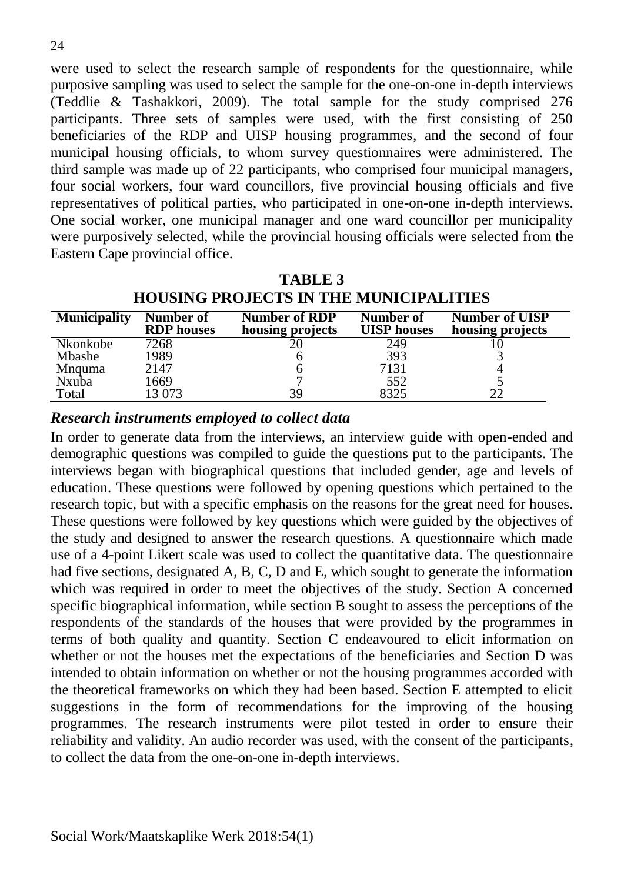were used to select the research sample of respondents for the questionnaire, while purposive sampling was used to select the sample for the one-on-one in-depth interviews (Teddlie & Tashakkori, 2009). The total sample for the study comprised 276 participants. Three sets of samples were used, with the first consisting of 250 beneficiaries of the RDP and UISP housing programmes, and the second of four municipal housing officials, to whom survey questionnaires were administered. The third sample was made up of 22 participants, who comprised four municipal managers, four social workers, four ward councillors, five provincial housing officials and five representatives of political parties, who participated in one-on-one in-depth interviews. One social worker, one municipal manager and one ward councillor per municipality were purposively selected, while the provincial housing officials were selected from the Eastern Cape provincial office.

| <b>HOUSING PROJECTS IN THE MUNICIPALITIES</b> |                                |                                          |                                 |                                           |
|-----------------------------------------------|--------------------------------|------------------------------------------|---------------------------------|-------------------------------------------|
| <b>Municipality</b>                           | Number of<br><b>RDP</b> houses | <b>Number of RDP</b><br>housing projects | Number of<br><b>UISP</b> houses | <b>Number of UISP</b><br>housing projects |
| Nkonkobe                                      | 7268                           |                                          | 249                             |                                           |
| <b>M</b> bashe                                | 1989                           |                                          | 393                             |                                           |
| <b>M</b> nguma                                | 2147                           |                                          | 7131                            |                                           |
| <b>Nxuba</b>                                  | 1669                           |                                          | 552                             |                                           |
| Total                                         | 13 073                         | 39                                       | 8325                            | 22                                        |

**TABLE 3 HOUSING PROJECTS IN THE MUNICIPALITIES** 

*Research instruments employed to collect data* 

In order to generate data from the interviews, an interview guide with open-ended and demographic questions was compiled to guide the questions put to the participants. The interviews began with biographical questions that included gender, age and levels of education. These questions were followed by opening questions which pertained to the research topic, but with a specific emphasis on the reasons for the great need for houses. These questions were followed by key questions which were guided by the objectives of the study and designed to answer the research questions. A questionnaire which made use of a 4-point Likert scale was used to collect the quantitative data. The questionnaire had five sections, designated A, B, C, D and E, which sought to generate the information which was required in order to meet the objectives of the study. Section A concerned specific biographical information, while section B sought to assess the perceptions of the respondents of the standards of the houses that were provided by the programmes in terms of both quality and quantity. Section C endeavoured to elicit information on whether or not the houses met the expectations of the beneficiaries and Section D was intended to obtain information on whether or not the housing programmes accorded with the theoretical frameworks on which they had been based. Section E attempted to elicit suggestions in the form of recommendations for the improving of the housing programmes. The research instruments were pilot tested in order to ensure their reliability and validity. An audio recorder was used, with the consent of the participants, to collect the data from the one-on-one in-depth interviews.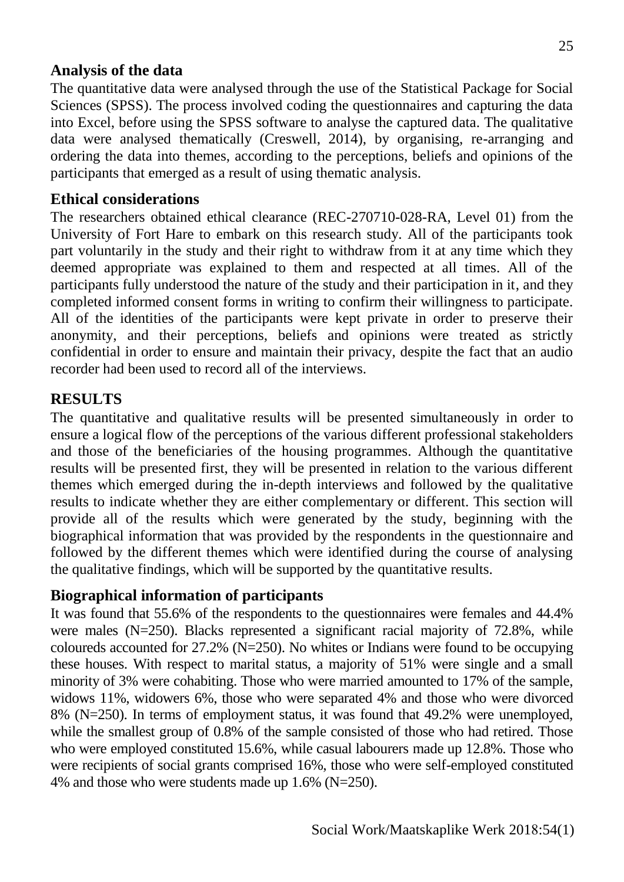## **Analysis of the data**

The quantitative data were analysed through the use of the Statistical Package for Social Sciences (SPSS). The process involved coding the questionnaires and capturing the data into Excel, before using the SPSS software to analyse the captured data. The qualitative data were analysed thematically (Creswell, 2014), by organising, re-arranging and ordering the data into themes, according to the perceptions, beliefs and opinions of the participants that emerged as a result of using thematic analysis.

#### **Ethical considerations**

The researchers obtained ethical clearance (REC-270710-028-RA, Level 01) from the University of Fort Hare to embark on this research study. All of the participants took part voluntarily in the study and their right to withdraw from it at any time which they deemed appropriate was explained to them and respected at all times. All of the participants fully understood the nature of the study and their participation in it, and they completed informed consent forms in writing to confirm their willingness to participate. All of the identities of the participants were kept private in order to preserve their anonymity, and their perceptions, beliefs and opinions were treated as strictly confidential in order to ensure and maintain their privacy, despite the fact that an audio recorder had been used to record all of the interviews.

## **RESULTS**

The quantitative and qualitative results will be presented simultaneously in order to ensure a logical flow of the perceptions of the various different professional stakeholders and those of the beneficiaries of the housing programmes. Although the quantitative results will be presented first, they will be presented in relation to the various different themes which emerged during the in-depth interviews and followed by the qualitative results to indicate whether they are either complementary or different. This section will provide all of the results which were generated by the study, beginning with the biographical information that was provided by the respondents in the questionnaire and followed by the different themes which were identified during the course of analysing the qualitative findings, which will be supported by the quantitative results.

## **Biographical information of participants**

It was found that 55.6% of the respondents to the questionnaires were females and 44.4% were males (N=250). Blacks represented a significant racial majority of 72.8%, while coloureds accounted for 27.2% (N=250). No whites or Indians were found to be occupying these houses. With respect to marital status, a majority of 51% were single and a small minority of 3% were cohabiting. Those who were married amounted to 17% of the sample, widows 11%, widowers 6%, those who were separated 4% and those who were divorced 8% (N=250). In terms of employment status, it was found that 49.2% were unemployed, while the smallest group of 0.8% of the sample consisted of those who had retired. Those who were employed constituted 15.6%, while casual labourers made up 12.8%. Those who were recipients of social grants comprised 16%, those who were self-employed constituted 4% and those who were students made up 1.6% (N=250).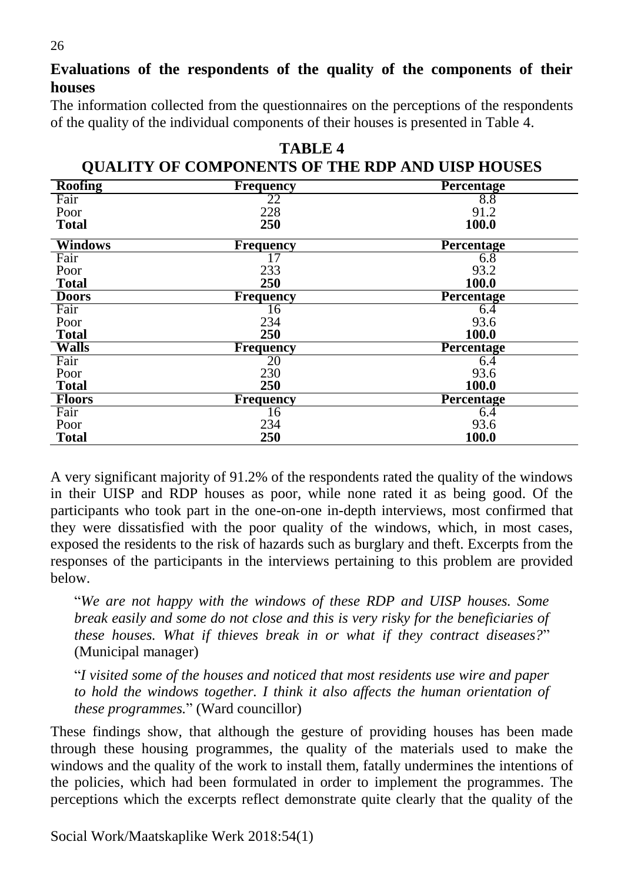**Evaluations of the respondents of the quality of the components of their houses** 

The information collected from the questionnaires on the perceptions of the respondents of the quality of the individual components of their houses is presented in Table 4.

| <b>QUALITY OF COMPONENTS OF THE RDP AND UISP HOUSES</b> |                  |                   |  |
|---------------------------------------------------------|------------------|-------------------|--|
| <b>Roofing</b>                                          | <b>Frequency</b> | <b>Percentage</b> |  |
| Fair                                                    | 22               | 8.8               |  |
| Poor                                                    | 228              | 91.2              |  |
| <b>Total</b>                                            | 250              | 100.0             |  |
| <b>Windows</b>                                          | <b>Frequency</b> | <b>Percentage</b> |  |
| Fair                                                    | 17               | 6.8               |  |
| Poor                                                    | 233              | 93.2              |  |
| <b>Total</b>                                            | 250              | 100.0             |  |
| <b>Doors</b>                                            | <b>Frequency</b> | <b>Percentage</b> |  |
| Fair                                                    | 16               | 6.4               |  |
| Poor                                                    | 234              | 93.6              |  |
| <b>Total</b>                                            | 250              | 100.0             |  |
| <b>Walls</b>                                            | Frequency        | Percentage        |  |
| Fair                                                    | 20               | 6.4               |  |
| Poor                                                    | 230              | 93.6              |  |
| <b>Total</b>                                            | 250              | 100.0             |  |
| <b>Floors</b>                                           | <b>Frequency</b> | <b>Percentage</b> |  |
| Fair                                                    | 16               | 6.4               |  |
| Poor                                                    | 234              | 93.6              |  |
| <b>Total</b>                                            | 250              | 100.0             |  |

**TABLE 4** 

A very significant majority of 91.2% of the respondents rated the quality of the windows in their UISP and RDP houses as poor, while none rated it as being good. Of the participants who took part in the one-on-one in-depth interviews, most confirmed that they were dissatisfied with the poor quality of the windows, which, in most cases, exposed the residents to the risk of hazards such as burglary and theft. Excerpts from the responses of the participants in the interviews pertaining to this problem are provided below.

"*We are not happy with the windows of these RDP and UISP houses. Some break easily and some do not close and this is very risky for the beneficiaries of these houses. What if thieves break in or what if they contract diseases?*" (Municipal manager)

"*I visited some of the houses and noticed that most residents use wire and paper to hold the windows together. I think it also affects the human orientation of these programmes.*" (Ward councillor)

These findings show, that although the gesture of providing houses has been made through these housing programmes, the quality of the materials used to make the windows and the quality of the work to install them, fatally undermines the intentions of the policies, which had been formulated in order to implement the programmes. The perceptions which the excerpts reflect demonstrate quite clearly that the quality of the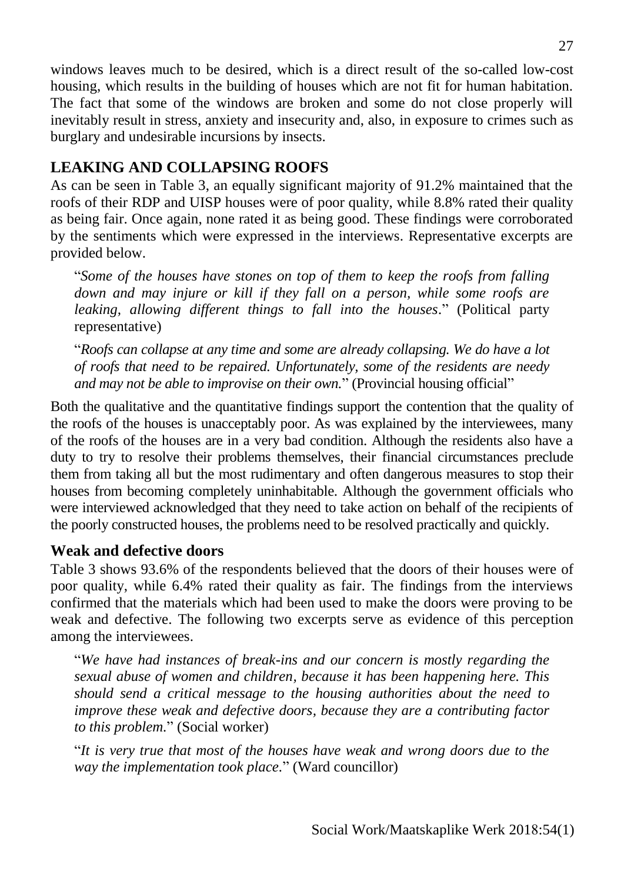windows leaves much to be desired, which is a direct result of the so-called low-cost housing, which results in the building of houses which are not fit for human habitation. The fact that some of the windows are broken and some do not close properly will inevitably result in stress, anxiety and insecurity and, also, in exposure to crimes such as burglary and undesirable incursions by insects.

# **LEAKING AND COLLAPSING ROOFS**

As can be seen in Table 3, an equally significant majority of 91.2% maintained that the roofs of their RDP and UISP houses were of poor quality, while 8.8% rated their quality as being fair. Once again, none rated it as being good. These findings were corroborated by the sentiments which were expressed in the interviews. Representative excerpts are provided below.

"*Some of the houses have stones on top of them to keep the roofs from falling down and may injure or kill if they fall on a person, while some roofs are leaking, allowing different things to fall into the houses.*" (Political party representative)

"*Roofs can collapse at any time and some are already collapsing. We do have a lot of roofs that need to be repaired. Unfortunately, some of the residents are needy and may not be able to improvise on their own.*" (Provincial housing official"

Both the qualitative and the quantitative findings support the contention that the quality of the roofs of the houses is unacceptably poor. As was explained by the interviewees, many of the roofs of the houses are in a very bad condition. Although the residents also have a duty to try to resolve their problems themselves, their financial circumstances preclude them from taking all but the most rudimentary and often dangerous measures to stop their houses from becoming completely uninhabitable. Although the government officials who were interviewed acknowledged that they need to take action on behalf of the recipients of the poorly constructed houses, the problems need to be resolved practically and quickly.

## **Weak and defective doors**

Table 3 shows 93.6% of the respondents believed that the doors of their houses were of poor quality, while 6.4% rated their quality as fair. The findings from the interviews confirmed that the materials which had been used to make the doors were proving to be weak and defective. The following two excerpts serve as evidence of this perception among the interviewees.

"*We have had instances of break-ins and our concern is mostly regarding the sexual abuse of women and children, because it has been happening here. This should send a critical message to the housing authorities about the need to improve these weak and defective doors, because they are a contributing factor to this problem.*" (Social worker)

"*It is very true that most of the houses have weak and wrong doors due to the way the implementation took place.*" (Ward councillor)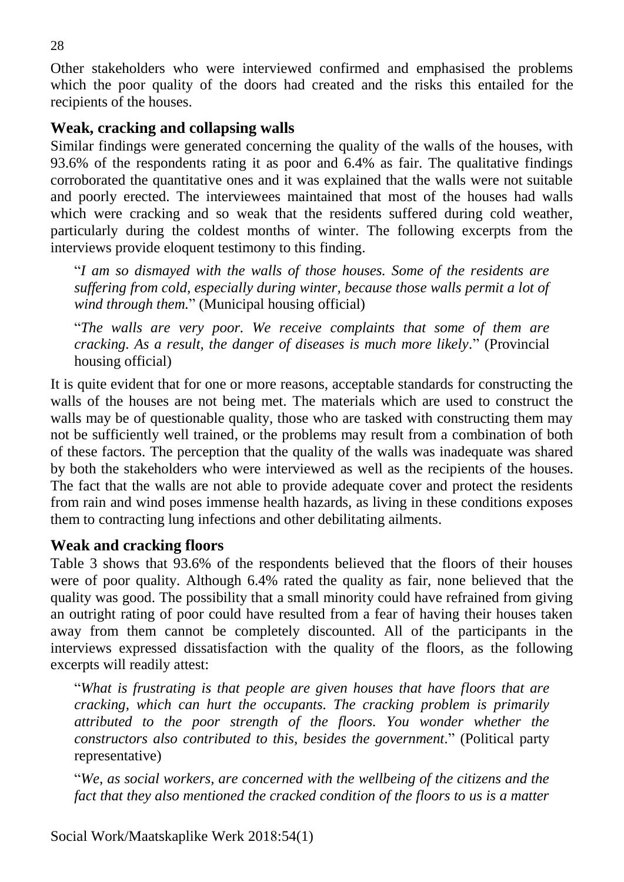Other stakeholders who were interviewed confirmed and emphasised the problems which the poor quality of the doors had created and the risks this entailed for the recipients of the houses.

#### **Weak, cracking and collapsing walls**

Similar findings were generated concerning the quality of the walls of the houses, with 93.6% of the respondents rating it as poor and 6.4% as fair. The qualitative findings corroborated the quantitative ones and it was explained that the walls were not suitable and poorly erected. The interviewees maintained that most of the houses had walls which were cracking and so weak that the residents suffered during cold weather, particularly during the coldest months of winter. The following excerpts from the interviews provide eloquent testimony to this finding.

"*I am so dismayed with the walls of those houses. Some of the residents are suffering from cold, especially during winter, because those walls permit a lot of wind through them.*" (Municipal housing official)

"*The walls are very poor. We receive complaints that some of them are cracking. As a result, the danger of diseases is much more likely.*" (Provincial housing official)

It is quite evident that for one or more reasons, acceptable standards for constructing the walls of the houses are not being met. The materials which are used to construct the walls may be of questionable quality, those who are tasked with constructing them may not be sufficiently well trained, or the problems may result from a combination of both of these factors. The perception that the quality of the walls was inadequate was shared by both the stakeholders who were interviewed as well as the recipients of the houses. The fact that the walls are not able to provide adequate cover and protect the residents from rain and wind poses immense health hazards, as living in these conditions exposes them to contracting lung infections and other debilitating ailments.

#### **Weak and cracking floors**

Table 3 shows that 93.6% of the respondents believed that the floors of their houses were of poor quality. Although 6.4% rated the quality as fair, none believed that the quality was good. The possibility that a small minority could have refrained from giving an outright rating of poor could have resulted from a fear of having their houses taken away from them cannot be completely discounted. All of the participants in the interviews expressed dissatisfaction with the quality of the floors, as the following excerpts will readily attest:

"*What is frustrating is that people are given houses that have floors that are cracking, which can hurt the occupants. The cracking problem is primarily attributed to the poor strength of the floors. You wonder whether the constructors also contributed to this, besides the government.*" (Political party representative)

"*We, as social workers, are concerned with the wellbeing of the citizens and the fact that they also mentioned the cracked condition of the floors to us is a matter*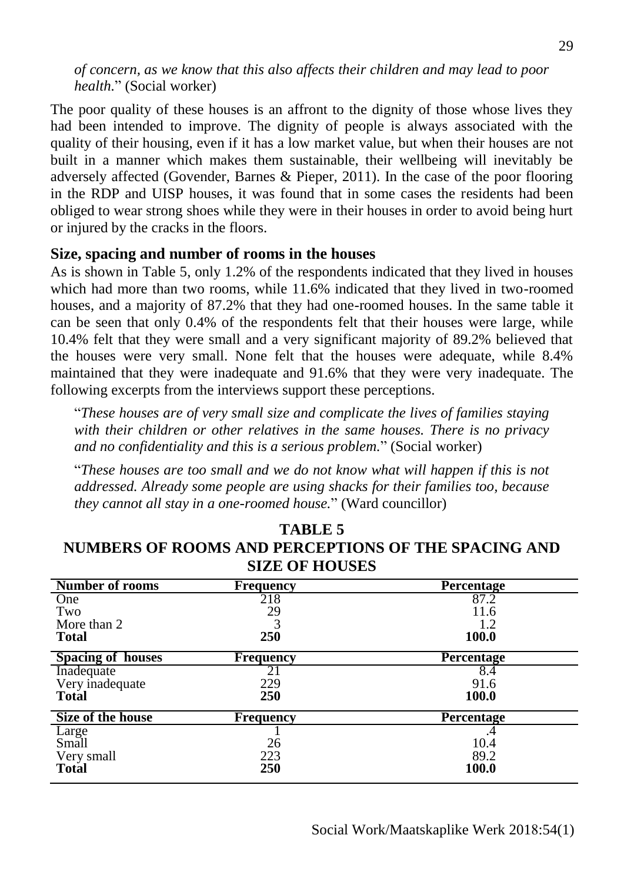*of concern, as we know that this also affects their children and may lead to poor health.*" (Social worker)

The poor quality of these houses is an affront to the dignity of those whose lives they had been intended to improve. The dignity of people is always associated with the quality of their housing, even if it has a low market value, but when their houses are not built in a manner which makes them sustainable, their wellbeing will inevitably be adversely affected (Govender, Barnes & Pieper, 2011). In the case of the poor flooring in the RDP and UISP houses, it was found that in some cases the residents had been obliged to wear strong shoes while they were in their houses in order to avoid being hurt or injured by the cracks in the floors.

#### **Size, spacing and number of rooms in the houses**

As is shown in Table 5, only 1.2% of the respondents indicated that they lived in houses which had more than two rooms, while 11.6% indicated that they lived in two-roomed houses, and a majority of 87.2% that they had one-roomed houses. In the same table it can be seen that only 0.4% of the respondents felt that their houses were large, while 10.4% felt that they were small and a very significant majority of 89.2% believed that the houses were very small. None felt that the houses were adequate, while 8.4% maintained that they were inadequate and 91.6% that they were very inadequate. The following excerpts from the interviews support these perceptions.

"*These houses are of very small size and complicate the lives of families staying with their children or other relatives in the same houses. There is no privacy and no confidentiality and this is a serious problem.*" (Social worker)

"*These houses are too small and we do not know what will happen if this is not addressed. Already some people are using shacks for their families too, because they cannot all stay in a one-roomed house.*" (Ward councillor)

| <b>Number of rooms</b>   | <b>Frequency</b> | <b>Percentage</b> |
|--------------------------|------------------|-------------------|
| One                      | 218              | 87.2              |
| Two                      | 29               | 11.6              |
| More than 2              |                  | 1.2               |
| <b>Total</b>             | 250              | 100.0             |
| <b>Spacing of houses</b> | <b>Frequency</b> | Percentage        |
| Inadequate               | 21               | 8.4               |
| Very inadequate          | 229              | 91.6              |
| <b>Total</b>             | 250              | 100.0             |
| <b>Size of the house</b> | <b>Frequency</b> | <b>Percentage</b> |
| Large                    |                  |                   |
| Small                    | 26               | 10.4              |
| Very small               | 223              | 89.2              |
| <b>Total</b>             | 250              | 100.0             |

## **TABLE 5 NUMBERS OF ROOMS AND PERCEPTIONS OF THE SPACING AND SIZE OF HOUSES**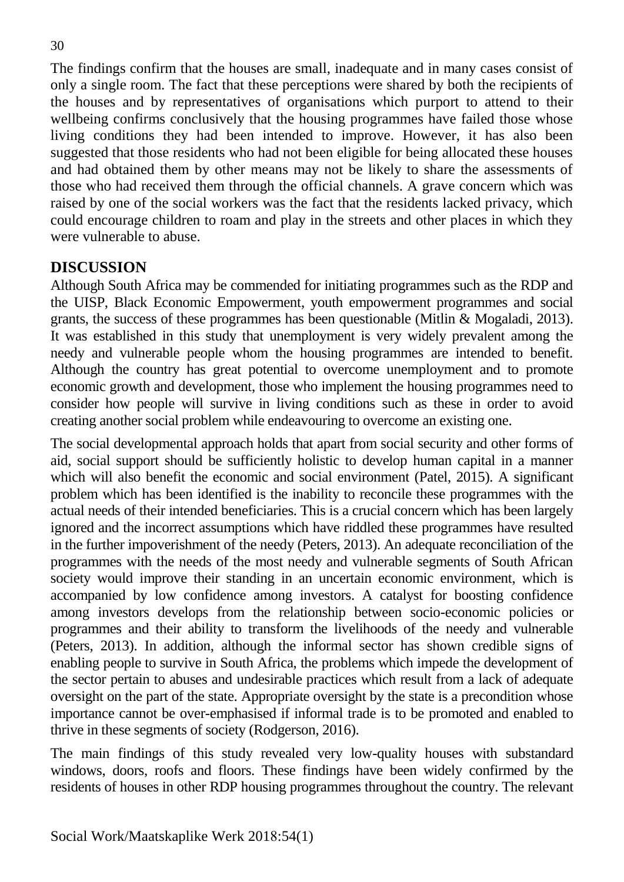The findings confirm that the houses are small, inadequate and in many cases consist of only a single room. The fact that these perceptions were shared by both the recipients of the houses and by representatives of organisations which purport to attend to their wellbeing confirms conclusively that the housing programmes have failed those whose living conditions they had been intended to improve. However, it has also been suggested that those residents who had not been eligible for being allocated these houses and had obtained them by other means may not be likely to share the assessments of those who had received them through the official channels. A grave concern which was raised by one of the social workers was the fact that the residents lacked privacy, which could encourage children to roam and play in the streets and other places in which they were vulnerable to abuse.

#### **DISCUSSION**

Although South Africa may be commended for initiating programmes such as the RDP and the UISP, Black Economic Empowerment, youth empowerment programmes and social grants, the success of these programmes has been questionable (Mitlin & Mogaladi, 2013). It was established in this study that unemployment is very widely prevalent among the needy and vulnerable people whom the housing programmes are intended to benefit. Although the country has great potential to overcome unemployment and to promote economic growth and development, those who implement the housing programmes need to consider how people will survive in living conditions such as these in order to avoid creating another social problem while endeavouring to overcome an existing one.

The social developmental approach holds that apart from social security and other forms of aid, social support should be sufficiently holistic to develop human capital in a manner which will also benefit the economic and social environment (Patel, 2015). A significant problem which has been identified is the inability to reconcile these programmes with the actual needs of their intended beneficiaries. This is a crucial concern which has been largely ignored and the incorrect assumptions which have riddled these programmes have resulted in the further impoverishment of the needy (Peters, 2013). An adequate reconciliation of the programmes with the needs of the most needy and vulnerable segments of South African society would improve their standing in an uncertain economic environment, which is accompanied by low confidence among investors. A catalyst for boosting confidence among investors develops from the relationship between socio-economic policies or programmes and their ability to transform the livelihoods of the needy and vulnerable (Peters, 2013). In addition, although the informal sector has shown credible signs of enabling people to survive in South Africa, the problems which impede the development of the sector pertain to abuses and undesirable practices which result from a lack of adequate oversight on the part of the state. Appropriate oversight by the state is a precondition whose importance cannot be over-emphasised if informal trade is to be promoted and enabled to thrive in these segments of society (Rodgerson, 2016).

The main findings of this study revealed very low-quality houses with substandard windows, doors, roofs and floors. These findings have been widely confirmed by the residents of houses in other RDP housing programmes throughout the country. The relevant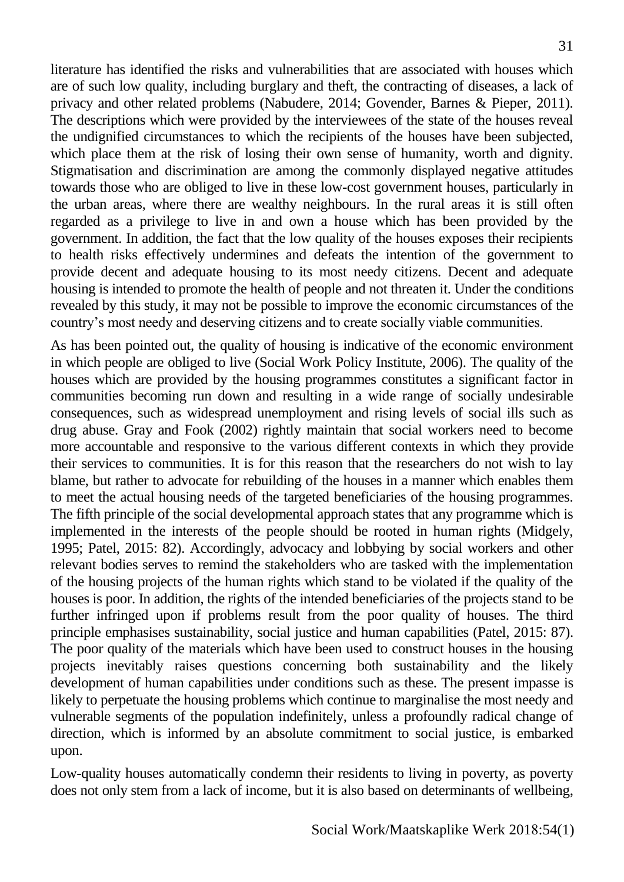literature has identified the risks and vulnerabilities that are associated with houses which are of such low quality, including burglary and theft, the contracting of diseases, a lack of privacy and other related problems (Nabudere, 2014; Govender, Barnes & Pieper, 2011). The descriptions which were provided by the interviewees of the state of the houses reveal the undignified circumstances to which the recipients of the houses have been subjected, which place them at the risk of losing their own sense of humanity, worth and dignity. Stigmatisation and discrimination are among the commonly displayed negative attitudes towards those who are obliged to live in these low-cost government houses, particularly in the urban areas, where there are wealthy neighbours. In the rural areas it is still often regarded as a privilege to live in and own a house which has been provided by the government. In addition, the fact that the low quality of the houses exposes their recipients to health risks effectively undermines and defeats the intention of the government to provide decent and adequate housing to its most needy citizens. Decent and adequate housing is intended to promote the health of people and not threaten it. Under the conditions revealed by this study, it may not be possible to improve the economic circumstances of the country's most needy and deserving citizens and to create socially viable communities.

As has been pointed out, the quality of housing is indicative of the economic environment in which people are obliged to live (Social Work Policy Institute, 2006). The quality of the houses which are provided by the housing programmes constitutes a significant factor in communities becoming run down and resulting in a wide range of socially undesirable consequences, such as widespread unemployment and rising levels of social ills such as drug abuse. Gray and Fook (2002) rightly maintain that social workers need to become more accountable and responsive to the various different contexts in which they provide their services to communities. It is for this reason that the researchers do not wish to lay blame, but rather to advocate for rebuilding of the houses in a manner which enables them to meet the actual housing needs of the targeted beneficiaries of the housing programmes. The fifth principle of the social developmental approach states that any programme which is implemented in the interests of the people should be rooted in human rights (Midgely, 1995; Patel, 2015: 82). Accordingly, advocacy and lobbying by social workers and other relevant bodies serves to remind the stakeholders who are tasked with the implementation of the housing projects of the human rights which stand to be violated if the quality of the houses is poor. In addition, the rights of the intended beneficiaries of the projects stand to be further infringed upon if problems result from the poor quality of houses. The third principle emphasises sustainability, social justice and human capabilities (Patel, 2015: 87). The poor quality of the materials which have been used to construct houses in the housing projects inevitably raises questions concerning both sustainability and the likely development of human capabilities under conditions such as these. The present impasse is likely to perpetuate the housing problems which continue to marginalise the most needy and vulnerable segments of the population indefinitely, unless a profoundly radical change of direction, which is informed by an absolute commitment to social justice, is embarked upon.

Low-quality houses automatically condemn their residents to living in poverty, as poverty does not only stem from a lack of income, but it is also based on determinants of wellbeing,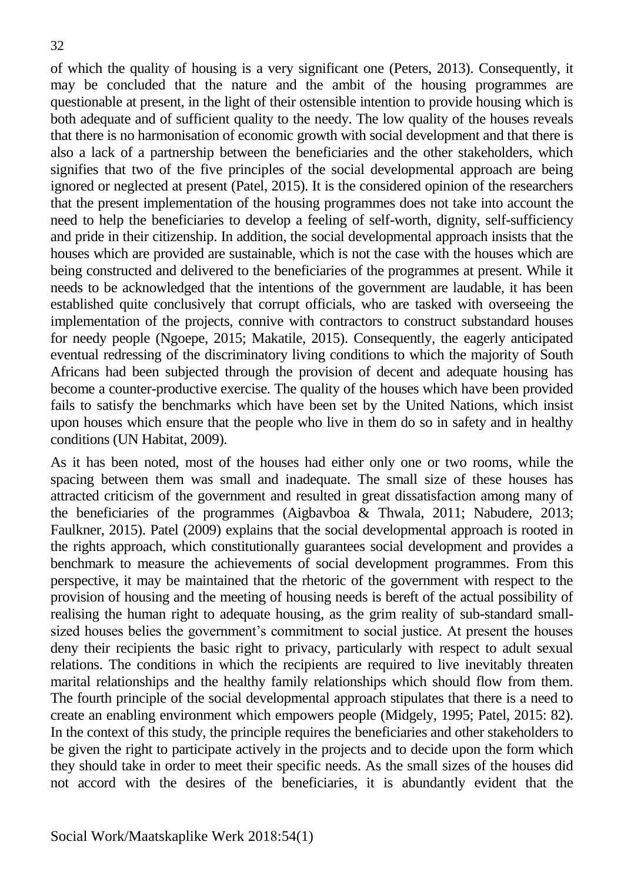of which the quality of housing is a very significant one (Peters, 2013). Consequently, it may be concluded that the nature and the ambit of the housing programmes are questionable at present, in the light of their ostensible intention to provide housing which is both adequate and of sufficient quality to the needy. The low quality of the houses reveals that there is no harmonisation of economic growth with social development and that there is also a lack of a partnership between the beneficiaries and the other stakeholders, which signifies that two of the five principles of the social developmental approach are being ignored or neglected at present (Patel, 2015). It is the considered opinion of the researchers that the present implementation of the housing programmes does not take into account the need to help the beneficiaries to develop a feeling of self-worth, dignity, self-sufficiency and pride in their citizenship. In addition, the social developmental approach insists that the houses which are provided are sustainable, which is not the case with the houses which are being constructed and delivered to the beneficiaries of the programmes at present. While it needs to be acknowledged that the intentions of the government are laudable, it has been established quite conclusively that corrupt officials, who are tasked with overseeing the implementation of the projects, connive with contractors to construct substandard houses for needy people (Ngoepe, 2015; Makatile, 2015). Consequently, the eagerly anticipated eventual redressing of the discriminatory living conditions to which the majority of South Africans had been subjected through the provision of decent and adequate housing has become a counter-productive exercise. The quality of the houses which have been provided fails to satisfy the benchmarks which have been set by the United Nations, which insist upon houses which ensure that the people who live in them do so in safety and in healthy conditions (UN Habitat, 2009).

As it has been noted, most of the houses had either only one or two rooms, while the spacing between them was small and inadequate. The small size of these houses has attracted criticism of the government and resulted in great dissatisfaction among many of the beneficiaries of the programmes (Aigbavboa & Thwala, 2011; Nabudere, 2013; Faulkner, 2015). Patel (2009) explains that the social developmental approach is rooted in the rights approach, which constitutionally guarantees social development and provides a benchmark to measure the achievements of social development programmes. From this perspective, it may be maintained that the rhetoric of the government with respect to the provision of housing and the meeting of housing needs is bereft of the actual possibility of realising the human right to adequate housing, as the grim reality of sub-standard smallsized houses belies the government's commitment to social justice. At present the houses deny their recipients the basic right to privacy, particularly with respect to adult sexual relations. The conditions in which the recipients are required to live inevitably threaten marital relationships and the healthy family relationships which should flow from them. The fourth principle of the social developmental approach stipulates that there is a need to create an enabling environment which empowers people (Midgely, 1995; Patel, 2015: 82). In the context of this study, the principle requires the beneficiaries and other stakeholders to be given the right to participate actively in the projects and to decide upon the form which they should take in order to meet their specific needs. As the small sizes of the houses did not accord with the desires of the beneficiaries, it is abundantly evident that the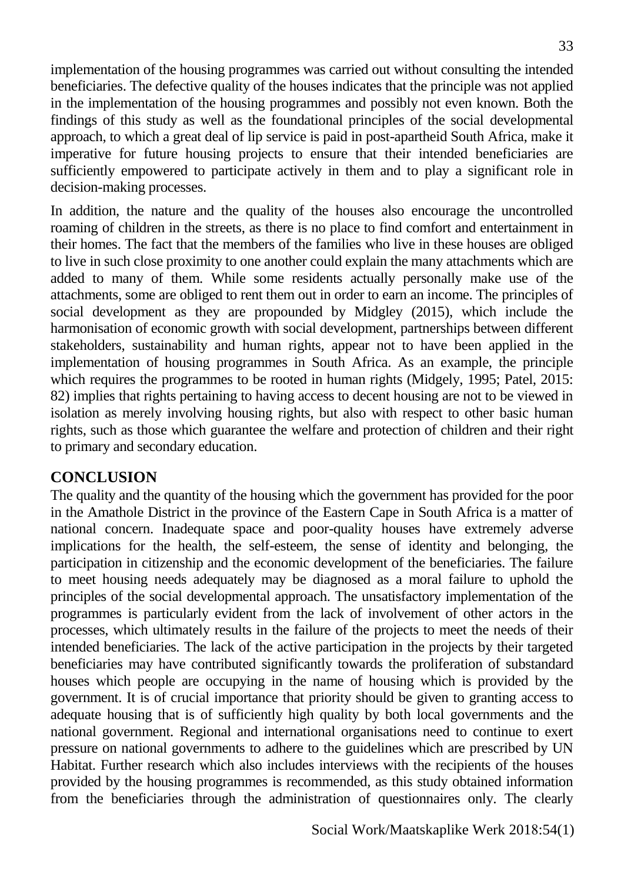implementation of the housing programmes was carried out without consulting the intended beneficiaries. The defective quality of the houses indicates that the principle was not applied in the implementation of the housing programmes and possibly not even known. Both the findings of this study as well as the foundational principles of the social developmental approach, to which a great deal of lip service is paid in post-apartheid South Africa, make it imperative for future housing projects to ensure that their intended beneficiaries are sufficiently empowered to participate actively in them and to play a significant role in decision-making processes.

In addition, the nature and the quality of the houses also encourage the uncontrolled roaming of children in the streets, as there is no place to find comfort and entertainment in their homes. The fact that the members of the families who live in these houses are obliged to live in such close proximity to one another could explain the many attachments which are added to many of them. While some residents actually personally make use of the attachments, some are obliged to rent them out in order to earn an income. The principles of social development as they are propounded by Midgley (2015), which include the harmonisation of economic growth with social development, partnerships between different stakeholders, sustainability and human rights, appear not to have been applied in the implementation of housing programmes in South Africa. As an example, the principle which requires the programmes to be rooted in human rights (Midgely, 1995; Patel, 2015: 82) implies that rights pertaining to having access to decent housing are not to be viewed in isolation as merely involving housing rights, but also with respect to other basic human rights, such as those which guarantee the welfare and protection of children and their right to primary and secondary education.

#### **CONCLUSION**

The quality and the quantity of the housing which the government has provided for the poor in the Amathole District in the province of the Eastern Cape in South Africa is a matter of national concern. Inadequate space and poor-quality houses have extremely adverse implications for the health, the self-esteem, the sense of identity and belonging, the participation in citizenship and the economic development of the beneficiaries. The failure to meet housing needs adequately may be diagnosed as a moral failure to uphold the principles of the social developmental approach. The unsatisfactory implementation of the programmes is particularly evident from the lack of involvement of other actors in the processes, which ultimately results in the failure of the projects to meet the needs of their intended beneficiaries. The lack of the active participation in the projects by their targeted beneficiaries may have contributed significantly towards the proliferation of substandard houses which people are occupying in the name of housing which is provided by the government. It is of crucial importance that priority should be given to granting access to adequate housing that is of sufficiently high quality by both local governments and the national government. Regional and international organisations need to continue to exert pressure on national governments to adhere to the guidelines which are prescribed by UN Habitat. Further research which also includes interviews with the recipients of the houses provided by the housing programmes is recommended, as this study obtained information from the beneficiaries through the administration of questionnaires only. The clearly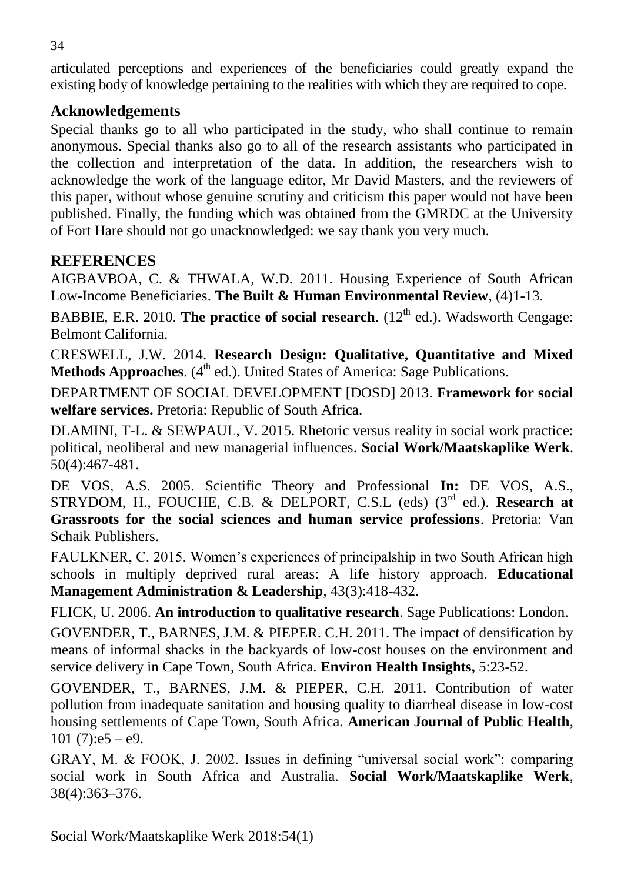articulated perceptions and experiences of the beneficiaries could greatly expand the existing body of knowledge pertaining to the realities with which they are required to cope.

## **Acknowledgements**

Special thanks go to all who participated in the study, who shall continue to remain anonymous. Special thanks also go to all of the research assistants who participated in the collection and interpretation of the data. In addition, the researchers wish to acknowledge the work of the language editor, Mr David Masters, and the reviewers of this paper, without whose genuine scrutiny and criticism this paper would not have been published. Finally, the funding which was obtained from the GMRDC at the University of Fort Hare should not go unacknowledged: we say thank you very much.

## **REFERENCES**

AIGBAVBOA, C. & THWALA, W.D. 2011. Housing Experience of South African Low-Income Beneficiaries. **The Built & Human Environmental Review***,* (4)1-13.

BABBIE, E.R. 2010. **The practice of social research**. (12<sup>th</sup> ed.). Wadsworth Cengage: Belmont California.

CRESWELL, J.W. 2014. **Research Design: Qualitative, Quantitative and Mixed Methods Approaches.** (4<sup>th</sup> ed.). United States of America: Sage Publications.

DEPARTMENT OF SOCIAL DEVELOPMENT [DOSD] 2013. **Framework for social welfare services.** Pretoria: Republic of South Africa.

DLAMINI, T-L. & SEWPAUL, V. 2015. Rhetoric versus reality in social work practice: political, neoliberal and new managerial influences. **Social Work/Maatskaplike Werk**. 50(4):467-481.

DE VOS, A.S. 2005. Scientific Theory and Professional **In:** DE VOS, A.S., STRYDOM, H., FOUCHE, C.B. & DELPORT, C.S.L (eds) (3rd ed.). **Research at Grassroots for the social sciences and human service professions**. Pretoria: Van Schaik Publishers.

FAULKNER, C. 2015. Women's experiences of principalship in two South African high schools in multiply deprived rural areas: A life history approach. **Educational Management Administration & Leadership**, 43(3):418-432.

FLICK, U. 2006. **An introduction to qualitative research**. Sage Publications: London.

GOVENDER, T., BARNES, J.M. & PIEPER. C.H. 2011. The impact of densification by means of informal shacks in the backyards of low-cost houses on the environment and service delivery in Cape Town, South Africa. **Environ Health Insights,** 5:23-52.

GOVENDER, T., BARNES, J.M. & PIEPER, C.H. 2011. Contribution of water pollution from inadequate sanitation and housing quality to diarrheal disease in low-cost housing settlements of Cape Town, South Africa. **American Journal of Public Health**, 101 (7): $e5 - e9$ .

GRAY, M. & FOOK, J. 2002. Issues in defining "universal social work": comparing social work in South Africa and Australia. **Social Work/Maatskaplike Werk**, 38(4):363–376.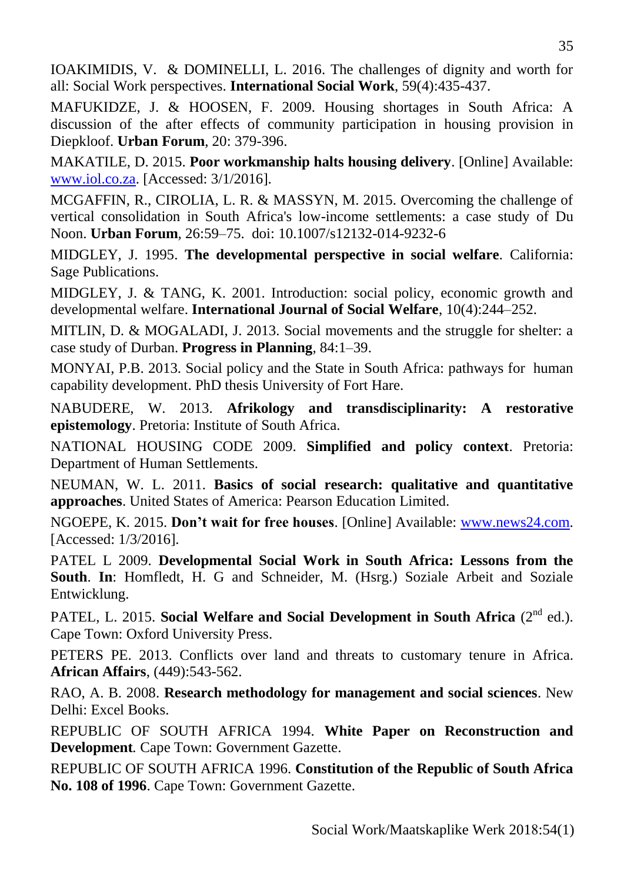MAFUKIDZE, J. & HOOSEN, F. 2009. Housing shortages in South Africa: A discussion of the after effects of community participation in housing provision in Diepkloof. **Urban Forum**, 20: 379-396.

MAKATILE, D. 2015. **Poor workmanship halts housing delivery**. [Online] Available: [www.iol.co.za.](http://www.iol.co.za/) [Accessed: 3/1/2016].

MCGAFFIN, R., CIROLIA, L. R. & MASSYN, M. 2015. Overcoming the challenge of vertical consolidation in South Africa's low-income settlements: a case study of Du Noon. **Urban Forum***,* 26:59–75. doi: 10.1007/s12132-014-9232-6

MIDGLEY, J. 1995. **The developmental perspective in social welfare***.* California: Sage Publications.

MIDGLEY, J. & TANG, K. 2001. Introduction: social policy, economic growth and developmental welfare. **International Journal of Social Welfare**, 10(4):244–252.

MITLIN, D. & MOGALADI, J. 2013. Social movements and the struggle for shelter: a case study of Durban. **[Progress in Planning](http://www.researchgate.net/journal/0305-9006_Progress_in_Planning)**, 84:1–39.

MONYAI, P.B. 2013. Social policy and the State in South Africa: pathways for human capability development. PhD thesis University of Fort Hare.

NABUDERE, W. 2013. **Afrikology and transdisciplinarity: A restorative epistemology**. Pretoria: Institute of South Africa.

NATIONAL HOUSING CODE 2009. **Simplified and policy context**. Pretoria: Department of Human Settlements.

NEUMAN, W. L. 2011. **Basics of social research: qualitative and quantitative approaches**. United States of America: Pearson Education Limited.

NGOEPE, K. 2015. **Don't wait for free houses**. [Online] Available: [www.news24.com.](http://www.news24.com/) [Accessed: 1/3/2016].

PATEL L 2009. **Developmental Social Work in South Africa: Lessons from the South**. **In**: Homfledt, H. G and Schneider, M. (Hsrg.) Soziale Arbeit and Soziale Entwicklung.

PATEL, L. 2015. **Social Welfare and Social Development in South Africa** (2<sup>nd</sup> ed.). Cape Town: Oxford University Press.

PETERS PE. 2013. Conflicts over land and threats to customary tenure in Africa. **African Affairs**, (449):543-562.

RAO, A. B. 2008. **Research methodology for management and social sciences**. New Delhi: Excel Books.

REPUBLIC OF SOUTH AFRICA 1994. **White Paper on Reconstruction and Development***.* Cape Town: Government Gazette.

REPUBLIC OF SOUTH AFRICA 1996. **Constitution of the Republic of South Africa No. 108 of 1996**. Cape Town: Government Gazette.